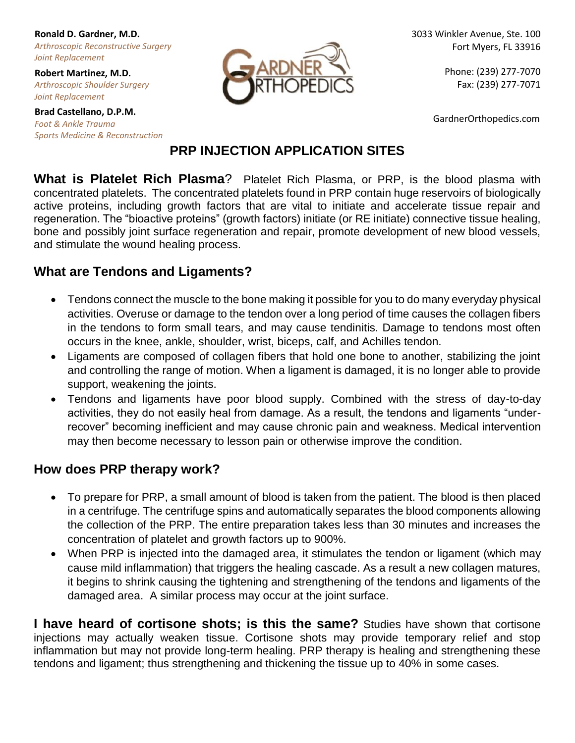**Ronald D. Gardner, M.D.** *Arthroscopic Reconstructive Surgery Joint Replacement*

**Robert Martinez, M.D.** *Arthroscopic Shoulder Surgery Joint Replacement*

**Brad Castellano, D.P.M.** *Foot & Ankle Trauma Sports Medicine & Reconstruction*



3033 Winkler Avenue, Ste. 100 Fort Myers, FL 33916

> Phone: (239) 277-7070 Fax: (239) 277-7071

GardnerOrthopedics.com

## **PRP INJECTION APPLICATION SITES**

**What is Platelet Rich Plasma**? Platelet Rich Plasma, or PRP, is the blood plasma with concentrated platelets. The concentrated platelets found in PRP contain huge reservoirs of biologically active proteins, including growth factors that are vital to initiate and accelerate tissue repair and regeneration. The "bioactive proteins" (growth factors) initiate (or RE initiate) connective tissue healing, bone and possibly joint surface regeneration and repair, promote development of new blood vessels, and stimulate the wound healing process.

#### **What are Tendons and Ligaments?**

- Tendons connect the muscle to the bone making it possible for you to do many everyday physical activities. Overuse or damage to the tendon over a long period of time causes the collagen fibers in the tendons to form small tears, and may cause tendinitis. Damage to tendons most often occurs in the knee, ankle, shoulder, wrist, biceps, calf, and Achilles tendon.
- Ligaments are composed of collagen fibers that hold one bone to another, stabilizing the joint and controlling the range of motion. When a ligament is damaged, it is no longer able to provide support, weakening the joints.
- Tendons and ligaments have poor blood supply. Combined with the stress of day-to-day activities, they do not easily heal from damage. As a result, the tendons and ligaments "underrecover" becoming inefficient and may cause chronic pain and weakness. Medical intervention may then become necessary to lesson pain or otherwise improve the condition.

## **How does PRP therapy work?**

- To prepare for PRP, a small amount of blood is taken from the patient. The blood is then placed in a centrifuge. The centrifuge spins and automatically separates the blood components allowing the collection of the PRP. The entire preparation takes less than 30 minutes and increases the concentration of platelet and growth factors up to 900%.
- When PRP is injected into the damaged area, it stimulates the tendon or ligament (which may cause mild inflammation) that triggers the healing cascade. As a result a new collagen matures, it begins to shrink causing the tightening and strengthening of the tendons and ligaments of the damaged area. A similar process may occur at the joint surface.

**I have heard of cortisone shots; is this the same?** Studies have shown that cortisone injections may actually weaken tissue. Cortisone shots may provide temporary relief and stop inflammation but may not provide long-term healing. PRP therapy is healing and strengthening these tendons and ligament; thus strengthening and thickening the tissue up to 40% in some cases.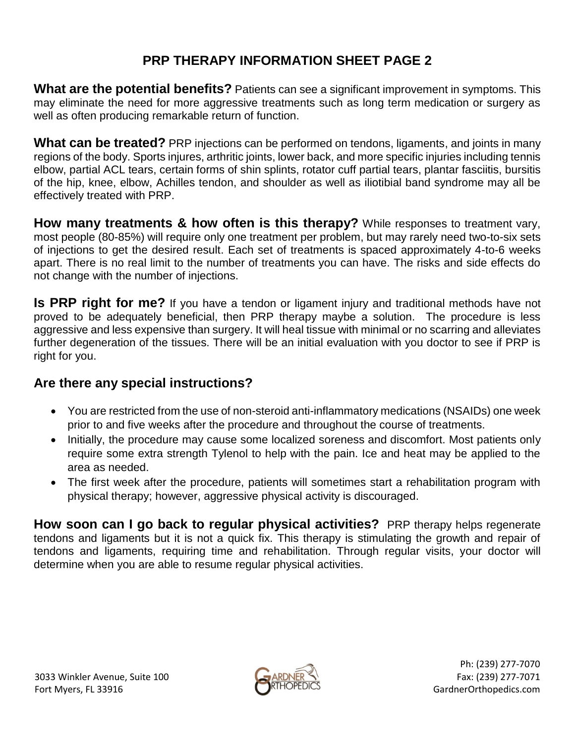# **PRP THERAPY INFORMATION SHEET PAGE 2**

**What are the potential benefits?** Patients can see a significant improvement in symptoms. This may eliminate the need for more aggressive treatments such as long term medication or surgery as well as often producing remarkable return of function.

**What can be treated?** PRP injections can be performed on tendons, ligaments, and joints in many regions of the body. Sports injures, arthritic joints, lower back, and more specific injuries including tennis elbow, partial ACL tears, certain forms of shin splints, rotator cuff partial tears, plantar fasciitis, bursitis of the hip, knee, elbow, Achilles tendon, and shoulder as well as iliotibial band syndrome may all be effectively treated with PRP.

**How many treatments & how often is this therapy?** While responses to treatment vary, most people (80-85%) will require only one treatment per problem, but may rarely need two-to-six sets of injections to get the desired result. Each set of treatments is spaced approximately 4-to-6 weeks apart. There is no real limit to the number of treatments you can have. The risks and side effects do not change with the number of injections.

**Is PRP right for me?** If you have a tendon or ligament injury and traditional methods have not proved to be adequately beneficial, then PRP therapy maybe a solution. The procedure is less aggressive and less expensive than surgery. It will heal tissue with minimal or no scarring and alleviates further degeneration of the tissues. There will be an initial evaluation with you doctor to see if PRP is right for you.

#### **Are there any special instructions?**

- You are restricted from the use of non-steroid anti-inflammatory medications (NSAIDs) one week prior to and five weeks after the procedure and throughout the course of treatments.
- Initially, the procedure may cause some localized soreness and discomfort. Most patients only require some extra strength Tylenol to help with the pain. Ice and heat may be applied to the area as needed.
- The first week after the procedure, patients will sometimes start a rehabilitation program with physical therapy; however, aggressive physical activity is discouraged.

**How soon can I go back to regular physical activities?** PRP therapy helps regenerate tendons and ligaments but it is not a quick fix. This therapy is stimulating the growth and repair of tendons and ligaments, requiring time and rehabilitation. Through regular visits, your doctor will determine when you are able to resume regular physical activities.